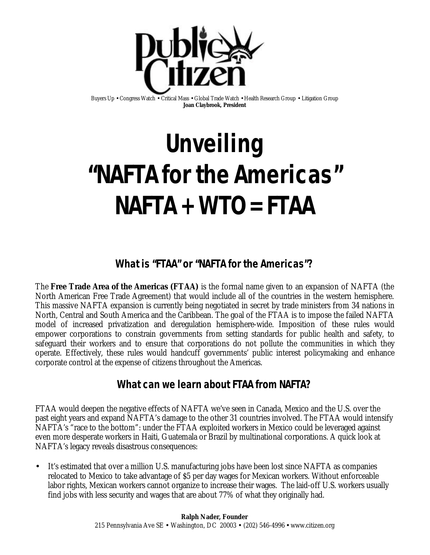

Buyers Up • Congress Watch • Critical Mass • Global Trade Watch • Health Research Group • Litigation Group **Joan Claybrook, President**

# **Unveiling "NAFTA for the Americas" NAFTA + WTO = FTAA**

### **What is "FTAA" or "NAFTA for the Americas"?**

The **Free Trade Area of the Americas (FTAA)** is the formal name given to an expansion of NAFTA (the North American Free Trade Agreement) that would include all of the countries in the western hemisphere. This massive NAFTA expansion is currently being negotiated in secret by trade ministers from 34 nations in North, Central and South America and the Caribbean. The goal of the FTAA is to impose the failed NAFTA model of increased privatization and deregulation hemisphere-wide. Imposition of these rules would empower corporations to constrain governments from setting standards for public health and safety, to safeguard their workers and to ensure that corporations do not pollute the communities in which they operate. Effectively, these rules would handcuff governments' public interest policymaking and enhance corporate control at the expense of citizens throughout the Americas.

#### **What can we learn about FTAA from NAFTA?**

FTAA would deepen the negative effects of NAFTA we've seen in Canada, Mexico and the U.S. over the past eight years and expand NAFTA's damage to the other 31 countries involved. The FTAA would intensify NAFTA's "race to the bottom": under the FTAA exploited workers in Mexico could be leveraged against even more desperate workers in Haiti, Guatemala or Brazil by multinational corporations. A quick look at NAFTA's legacy reveals disastrous consequences:

• It's estimated that over a million U.S. manufacturing jobs have been lost since NAFTA as companies relocated to Mexico to take advantage of \$5 per day wages for Mexican workers. Without enforceable labor rights, Mexican workers cannot organize to increase their wages. The laid-off U.S. workers usually find jobs with less security and wages that are about 77% of what they originally had.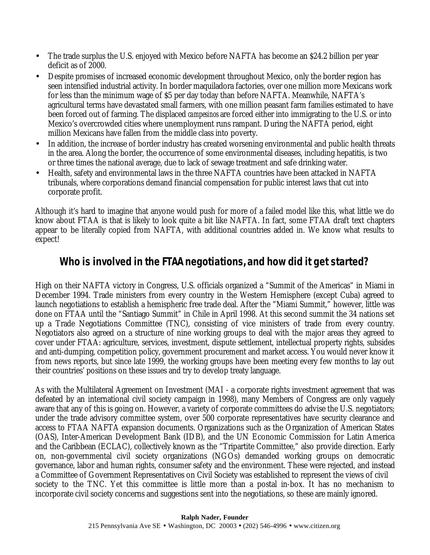- The trade surplus the U.S. enjoyed with Mexico before NAFTA has become an \$24.2 billion per year deficit as of 2000.
- Despite promises of increased economic development throughout Mexico, only the border region has seen intensified industrial activity. In border maquiladora factories, over one million more Mexicans work for less than the minimum wage of \$5 per day today than before NAFTA. Meanwhile, NAFTA's agricultural terms have devastated small farmers, with one million peasant farm families estimated to have been forced out of farming. The displaced *campesinos* are forced either into immigrating to the U.S. or into Mexico's overcrowded cities where unemployment runs rampant. During the NAFTA period, eight million Mexicans have fallen from the middle class into poverty.
- In addition, the increase of border industry has created worsening environmental and public health threats in the area. Along the border, the occurrence of some environmental diseases, including hepatitis, is two or three times the national average, due to lack of sewage treatment and safe drinking water.
- Health, safety and environmental laws in the three NAFTA countries have been attacked in NAFTA tribunals, where corporations demand financial compensation for public interest laws that cut into corporate profit.

Although it's hard to imagine that anyone would push for more of a failed model like this, what little we do know about FTAA is that is likely to look quite a bit like NAFTA. In fact, some FTAA draft text chapters appear to be literally copied from NAFTA, with additional countries added in. We know what results to expect!

#### **Who is involved in the FTAA negotiations, and how did it get started?**

High on their NAFTA victory in Congress, U.S. officials organized a "Summit of the Americas" in Miami in December 1994. Trade ministers from every country in the Western Hemisphere (except Cuba) agreed to launch negotiations to establish a hemispheric free trade deal. After the "Miami Summit," however, little was done on FTAA until the "Santiago Summit" in Chile in April 1998. At this second summit the 34 nations set up a Trade Negotiations Committee (TNC), consisting of vice ministers of trade from every country. Negotiators also agreed on a structure of nine working groups to deal with the major areas they agreed to cover under FTAA: agriculture, services, investment, dispute settlement, intellectual property rights, subsides and anti-dumping, competition policy, government procurement and market access. You would never know it from news reports, but since late 1999, the working groups have been meeting every few months to lay out their countries' positions on these issues and try to develop treaty language.

As with the Multilateral Agreement on Investment (MAI - a corporate rights investment agreement that was defeated by an international civil society campaign in 1998), many Members of Congress are only vaguely aware that any of this is going on. However, a variety of corporate committees do advise the U.S. negotiators; under the trade advisory committee system, over 500 corporate representatives have security clearance and access to FTAA NAFTA expansion documents. Organizations such as the Organization of American States (OAS), Inter-American Development Bank (IDB), and the UN Economic Commission for Latin America and the Caribbean (ECLAC), collectively known as the "Tripartite Committee," also provide direction. Early on, non-governmental civil society organizations (NGOs) demanded working groups on democratic governance, labor and human rights, consumer safety and the environment. These were rejected, and instead a Committee of Government Representatives on Civil Society was established to represent the views of civil society to the TNC. Yet this committee is little more than a postal in-box. It has no mechanism to incorporate civil society concerns and suggestions sent into the negotiations, so these are mainly ignored.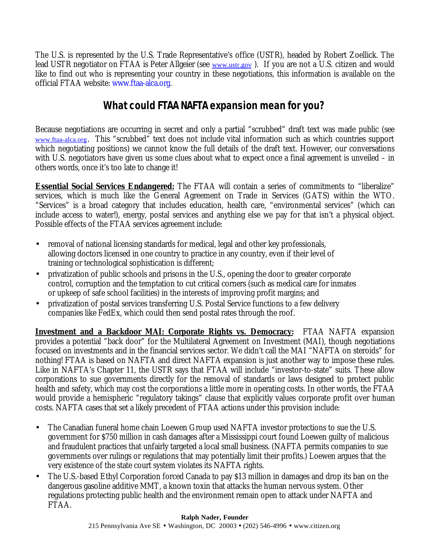The U.S. is represented by the U.S. Trade Representative's office (USTR), headed by Robert Zoellick. The lead USTR negotiator on FTAA is Peter Allgeier (see www.ustr.gov). If you are not a U.S. citizen and would like to find out who is representing your country in these negotiations, this information is available on the official FTAA website: www.ftaa-alca.org.

## **What could FTAA NAFTA expansion mean for you?**

Because negotiations are occurring in secret and only a partial "scrubbed" draft text was made public (see www.ftaa-alca.org. This "scrubbed" text does not include vital information such as which countries support which negotiating positions) we cannot know the full details of the draft text. However, our conversations with U.S. negotiators have given us some clues about what to expect once a final agreement is unveiled – in others words, once it's too late to change it!

**Essential Social Services Endangered:** The FTAA will contain a series of commitments to "liberalize" services, which is much like the General Agreement on Trade in Services (GATS) within the WTO. "Services" is a broad category that includes education, health care, "environmental services" (which can include access to water!), energy, postal services and anything else we pay for that isn't a physical object. Possible effects of the FTAA services agreement include:

- removal of national licensing standards for medical, legal and other key professionals, allowing doctors licensed in one country to practice in any country, even if their level of training or technological sophistication is different;
- privatization of public schools and prisons in the U.S., opening the door to greater corporate control, corruption and the temptation to cut critical corners (such as medical care for inmates or upkeep of safe school facilities) in the interests of improving profit margins; and
- privatization of postal services transferring U.S. Postal Service functions to a few delivery companies like FedEx, which could then send postal rates through the roof.

**Investment and a Backdoor MAI: Corporate Rights vs. Democracy:** FTAA NAFTA expansion provides a potential "back door" for the Multilateral Agreement on Investment (MAI), though negotiations focused on investments and in the financial services sector. We didn't call the MAI "NAFTA on steroids" for nothing! FTAA is based on NAFTA and direct NAFTA expansion is just another way to impose these rules. Like in NAFTA's Chapter 11, the USTR says that FTAA will include "investor-to-state" suits. These allow corporations to sue governments directly for the removal of standards or laws designed to protect public health and safety, which may cost the corporations a little more in operating costs. In other words, the FTAA would provide a hemispheric "regulatory takings" clause that explicitly values corporate profit over human costs. NAFTA cases that set a likely precedent of FTAA actions under this provision include:

- The Canadian funeral home chain Loewen Group used NAFTA investor protections to sue the U.S. government for \$750 million in cash damages after a Mississippi court found Loewen guilty of malicious and fraudulent practices that unfairly targeted a local small business. (NAFTA permits companies to sue governments over rulings or regulations that may potentially limit their profits.) Loewen argues that the very existence of the state court system violates its NAFTA rights.
- The U.S.-based Ethyl Corporation forced Canada to pay \$13 million in damages and drop its ban on the dangerous gasoline additive MMT, a known toxin that attacks the human nervous system. Other regulations protecting public health and the environment remain open to attack under NAFTA and FTAA.